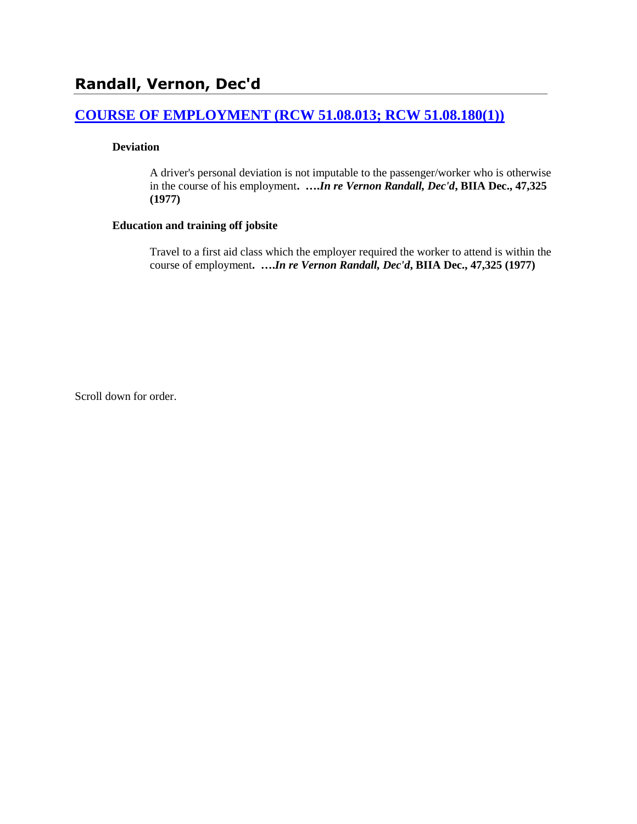## **[COURSE OF EMPLOYMENT \(RCW 51.08.013; RCW 51.08.180\(1\)\)](http://www.biia.wa.gov/SDSubjectIndex.html#COURSE_OF_EMPLOYMENT)**

### **Deviation**

A driver's personal deviation is not imputable to the passenger/worker who is otherwise in the course of his employment**. ….***In re Vernon Randall, Dec'd***, BIIA Dec., 47,325 (1977)**

#### **Education and training off jobsite**

Travel to a first aid class which the employer required the worker to attend is within the course of employment**. ….***In re Vernon Randall, Dec'd***, BIIA Dec., 47,325 (1977)** 

Scroll down for order.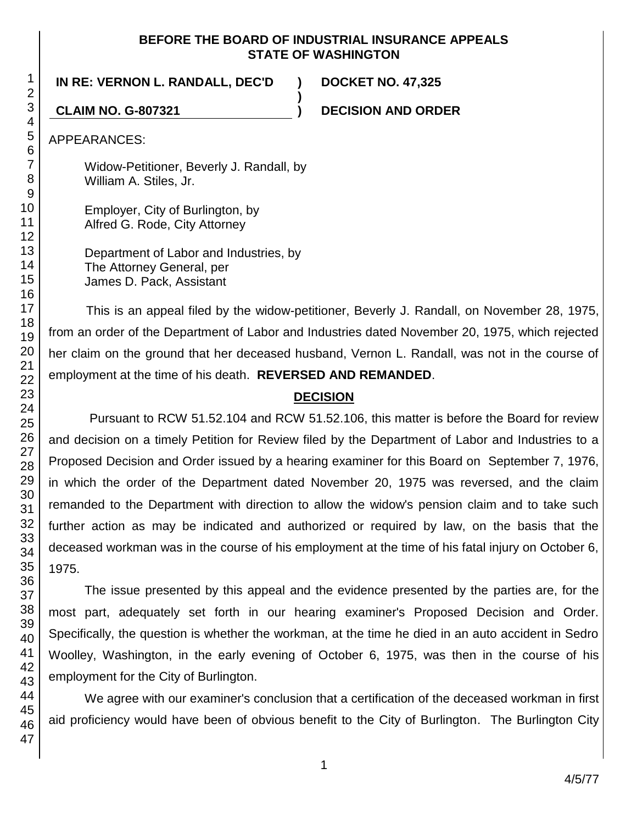## **BEFORE THE BOARD OF INDUSTRIAL INSURANCE APPEALS STATE OF WASHINGTON**

**)**

**IN RE: VERNON L. RANDALL, DEC'D ) DOCKET NO. 47,325**

**CLAIM NO. G-807321 ) DECISION AND ORDER**

APPEARANCES:

Widow-Petitioner, Beverly J. Randall, by William A. Stiles, Jr.

Employer, City of Burlington, by Alfred G. Rode, City Attorney

Department of Labor and Industries, by The Attorney General, per James D. Pack, Assistant

This is an appeal filed by the widow-petitioner, Beverly J. Randall, on November 28, 1975, from an order of the Department of Labor and Industries dated November 20, 1975, which rejected her claim on the ground that her deceased husband, Vernon L. Randall, was not in the course of employment at the time of his death. **REVERSED AND REMANDED**.

# **DECISION**

Pursuant to RCW 51.52.104 and RCW 51.52.106, this matter is before the Board for review and decision on a timely Petition for Review filed by the Department of Labor and Industries to a Proposed Decision and Order issued by a hearing examiner for this Board on September 7, 1976, in which the order of the Department dated November 20, 1975 was reversed, and the claim remanded to the Department with direction to allow the widow's pension claim and to take such further action as may be indicated and authorized or required by law, on the basis that the deceased workman was in the course of his employment at the time of his fatal injury on October 6, 1975.

The issue presented by this appeal and the evidence presented by the parties are, for the most part, adequately set forth in our hearing examiner's Proposed Decision and Order. Specifically, the question is whether the workman, at the time he died in an auto accident in Sedro Woolley, Washington, in the early evening of October 6, 1975, was then in the course of his employment for the City of Burlington.

We agree with our examiner's conclusion that a certification of the deceased workman in first aid proficiency would have been of obvious benefit to the City of Burlington. The Burlington City

1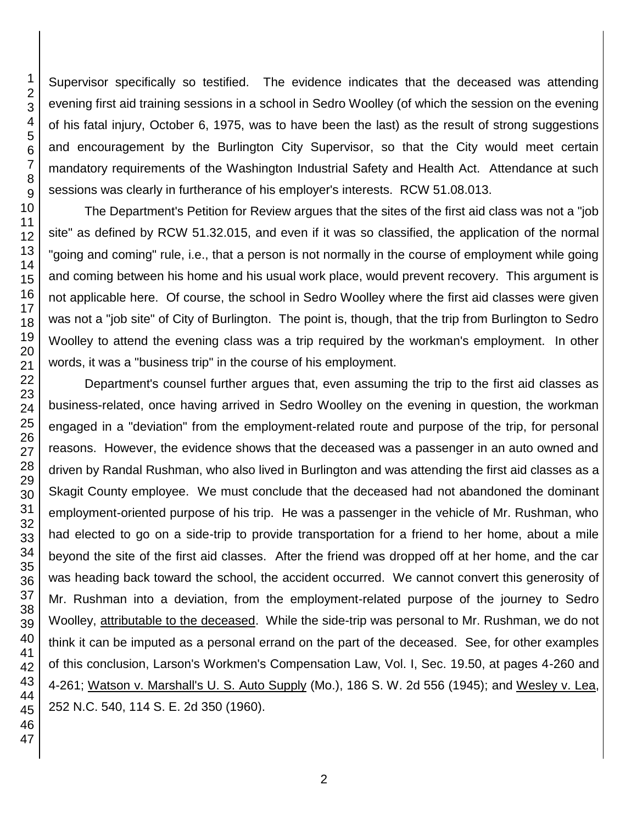Supervisor specifically so testified. The evidence indicates that the deceased was attending evening first aid training sessions in a school in Sedro Woolley (of which the session on the evening of his fatal injury, October 6, 1975, was to have been the last) as the result of strong suggestions and encouragement by the Burlington City Supervisor, so that the City would meet certain mandatory requirements of the Washington Industrial Safety and Health Act. Attendance at such sessions was clearly in furtherance of his employer's interests. RCW 51.08.013.

The Department's Petition for Review argues that the sites of the first aid class was not a "job site" as defined by RCW 51.32.015, and even if it was so classified, the application of the normal "going and coming" rule, i.e., that a person is not normally in the course of employment while going and coming between his home and his usual work place, would prevent recovery. This argument is not applicable here. Of course, the school in Sedro Woolley where the first aid classes were given was not a "job site" of City of Burlington. The point is, though, that the trip from Burlington to Sedro Woolley to attend the evening class was a trip required by the workman's employment. In other words, it was a "business trip" in the course of his employment.

Department's counsel further argues that, even assuming the trip to the first aid classes as business-related, once having arrived in Sedro Woolley on the evening in question, the workman engaged in a "deviation" from the employment-related route and purpose of the trip, for personal reasons. However, the evidence shows that the deceased was a passenger in an auto owned and driven by Randal Rushman, who also lived in Burlington and was attending the first aid classes as a Skagit County employee. We must conclude that the deceased had not abandoned the dominant employment-oriented purpose of his trip. He was a passenger in the vehicle of Mr. Rushman, who had elected to go on a side-trip to provide transportation for a friend to her home, about a mile beyond the site of the first aid classes. After the friend was dropped off at her home, and the car was heading back toward the school, the accident occurred. We cannot convert this generosity of Mr. Rushman into a deviation, from the employment-related purpose of the journey to Sedro Woolley, attributable to the deceased. While the side-trip was personal to Mr. Rushman, we do not think it can be imputed as a personal errand on the part of the deceased. See, for other examples of this conclusion, Larson's Workmen's Compensation Law, Vol. I, Sec. 19.50, at pages 4-260 and 4-261: Watson v. Marshall's U. S. Auto Supply (Mo.), 186 S. W. 2d 556 (1945); and Wesley v. Lea, 252 N.C. 540, 114 S. E. 2d 350 (1960).